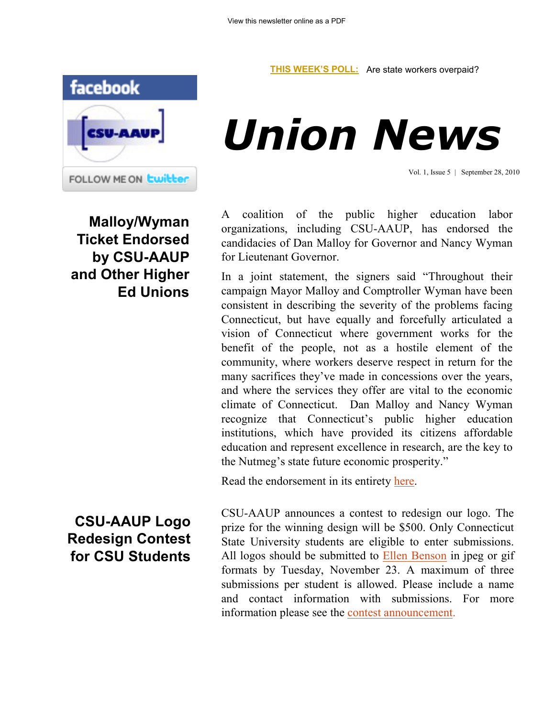## **[THIS WEEK'S POLL:](http://www.csuaaup.org/)** Are state workers overpaid?



## *Union News*

Vol. 1, Issue 5 | September 28, 2010

**Malloy/Wyman Ticket Endorsed by CSU-AAUP and Other Higher Ed Unions** A coalition of the public higher education labor organizations, including CSU-AAUP, has endorsed the candidacies of Dan Malloy for Governor and Nancy Wyman for Lieutenant Governor.

In a joint statement, the signers said "Throughout their campaign Mayor Malloy and Comptroller Wyman have been consistent in describing the severity of the problems facing Connecticut, but have equally and forcefully articulated a vision of Connecticut where government works for the benefit of the people, not as a hostile element of the community, where workers deserve respect in return for the many sacrifices they've made in concessions over the years, and where the services they offer are vital to the economic climate of Connecticut. Dan Malloy and Nancy Wyman recognize that Connecticut's public higher education institutions, which have provided its citizens affordable education and represent excellence in research, are the key to the Nutmeg's state future economic prosperity."

Read the endorsement in its entirety [here.](http://www.csuaaup.org/wp-content/uploads/2010/09/Endorsement-v4.doc)

**CSU-AAUP Logo Redesign Contest for CSU Students**

CSU-AAUP announces a contest to redesign our logo. The prize for the winning design will be \$500. Only Connecticut State University students are eligible to enter submissions. All logos should be submitted to [Ellen Benson](mailto:bensonell@ccsu.edu) in jpeg or gif formats by Tuesday, November 23. A maximum of three submissions per student is allowed. Please include a name and contact information with submissions. For more information please see the [contest announcement.](http://www.csuaaup.org/wp-content/uploads/2010/09/LogoContestAnnouncement.doc)